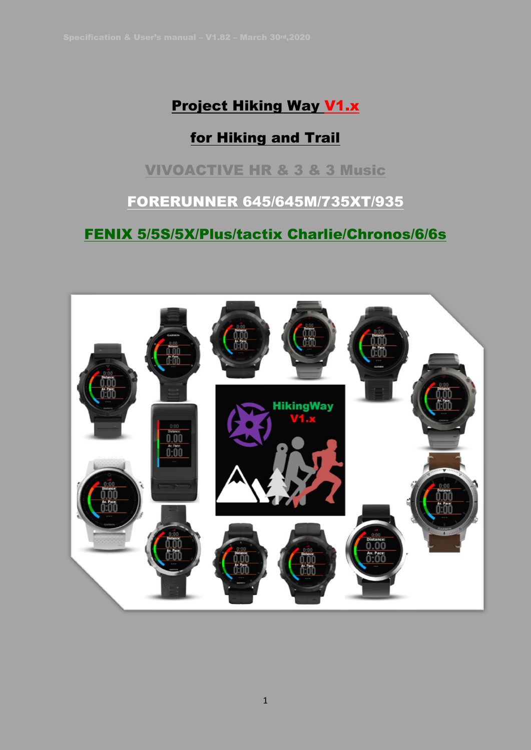# Project Hiking Way V1.x

# for Hiking and Trail

## VIVOACTIVE HR & 3 & 3 Music

FORERUNNER 645/645M/735XT/935

FENIX 5/5S/5X/Plus/tactix Charlie/Chronos/6/6s

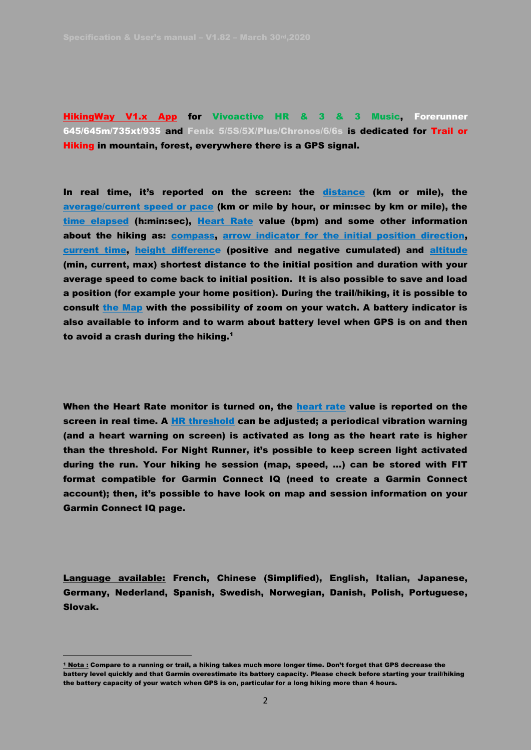HikingWay V1.x App for Vivoactive HR & 3 & 3 Music, Forerunner 645/645m/735xt/935 and Fenix 5/5S/5X/Plus/Chronos/6/6s is dedicated for Trail or Hiking in mountain, forest, everywhere there is a GPS signal.

In real time, it's reported on the screen: the distance (km or mile), the average/current speed or pace (km or mile by hour, or min:sec by km or mile), the time elapsed (h:min:sec), Heart Rate value (bpm) and some other information about the hiking as: **compass**, arrow indicator for the initial position direction, current time, height difference (positive and negative cumulated) and altitude (min, current, max) shortest distance to the initial position and duration with your average speed to come back to initial position. It is also possible to save and load a position (for example your home position). During the trail/hiking, it is possible to consult the Map with the possibility of zoom on your watch. A battery indicator is also available to inform and to warm about battery level when GPS is on and then to avoid a crash during the hiking. $<sup>1</sup>$ </sup>

When the Heart Rate monitor is turned on, the heart rate value is reported on the screen in real time. A HR threshold can be adjusted; a periodical vibration warning (and a heart warning on screen) is activated as long as the heart rate is higher than the threshold. For Night Runner, it's possible to keep screen light activated during the run. Your hiking he session (map, speed, …) can be stored with FIT format compatible for Garmin Connect IQ (need to create a Garmin Connect account); then, it's possible to have look on map and session information on your Garmin Connect IQ page.

Language available: French, Chinese (Simplified), English, Italian, Japanese, Germany, Nederland, Spanish, Swedish, Norwegian, Danish, Polish, Portuguese, Slovak.

<sup>1</sup> Nota : Compare to a running or trail, a hiking takes much more longer time. Don't forget that GPS decrease the battery level quickly and that Garmin overestimate its battery capacity. Please check before starting your trail/hiking the battery capacity of your watch when GPS is on, particular for a long hiking more than 4 hours.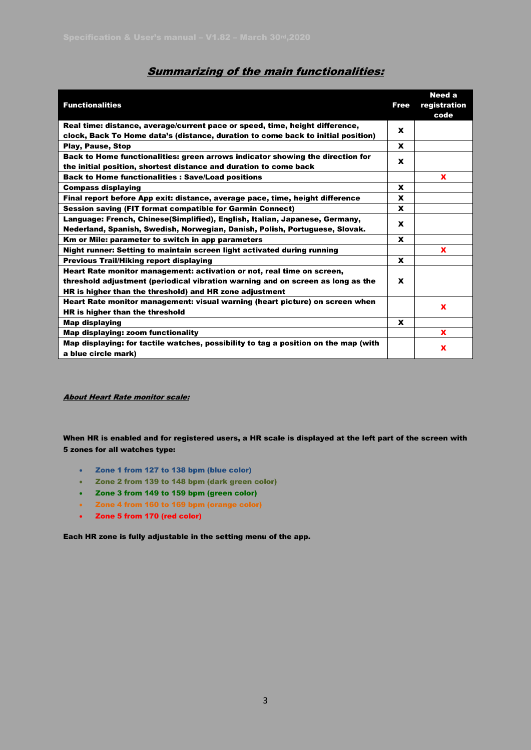| <b>Functionalities</b>                                                                                                                                                                                               | <b>Free</b> | <b>Need a</b><br>registration<br>code |
|----------------------------------------------------------------------------------------------------------------------------------------------------------------------------------------------------------------------|-------------|---------------------------------------|
| Real time: distance, average/current pace or speed, time, height difference,                                                                                                                                         | X           |                                       |
| clock, Back To Home data's (distance, duration to come back to initial position)                                                                                                                                     |             |                                       |
| <b>Play, Pause, Stop</b>                                                                                                                                                                                             | X           |                                       |
| Back to Home functionalities: green arrows indicator showing the direction for<br>the initial position, shortest distance and duration to come back                                                                  | X           |                                       |
| <b>Back to Home functionalities: Save/Load positions</b>                                                                                                                                                             |             | x                                     |
| <b>Compass displaying</b>                                                                                                                                                                                            | X           |                                       |
| Final report before App exit: distance, average pace, time, height difference                                                                                                                                        | x           |                                       |
| Session saving (FIT format compatible for Garmin Connect)                                                                                                                                                            | X           |                                       |
| Language: French, Chinese(Simplified), English, Italian, Japanese, Germany,<br>Nederland, Spanish, Swedish, Norwegian, Danish, Polish, Portuguese, Slovak.                                                           | X           |                                       |
|                                                                                                                                                                                                                      | X           |                                       |
| Km or Mile: parameter to switch in app parameters                                                                                                                                                                    |             |                                       |
| Night runner: Setting to maintain screen light activated during running                                                                                                                                              |             | $\mathbf x$                           |
| <b>Previous Trail/Hiking report displaying</b>                                                                                                                                                                       | x           |                                       |
| Heart Rate monitor management: activation or not, real time on screen,<br>threshold adjustment (periodical vibration warning and on screen as long as the<br>HR is higher than the threshold) and HR zone adjustment | X           |                                       |
| Heart Rate monitor management: visual warning (heart picture) on screen when<br>HR is higher than the threshold                                                                                                      |             | $\mathbf x$                           |
| <b>Map displaying</b>                                                                                                                                                                                                | x           |                                       |
| Map displaying: zoom functionality                                                                                                                                                                                   |             | X                                     |
| Map displaying: for tactile watches, possibility to tag a position on the map (with                                                                                                                                  |             | $\mathbf x$                           |
| a blue circle mark)                                                                                                                                                                                                  |             |                                       |

### Summarizing of the main functionalities:

About Heart Rate monitor scale:

When HR is enabled and for registered users, a HR scale is displayed at the left part of the screen with 5 zones for all watches type:

- Zone 1 from 127 to 138 bpm (blue color)
- Zone 2 from 139 to 148 bpm (dark green color)
- Zone 3 from 149 to 159 bpm (green color)
- Zone 4 from 160 to 169 bpm (orange color)
- Zone 5 from 170 (red color)

Each HR zone is fully adjustable in the setting menu of the app.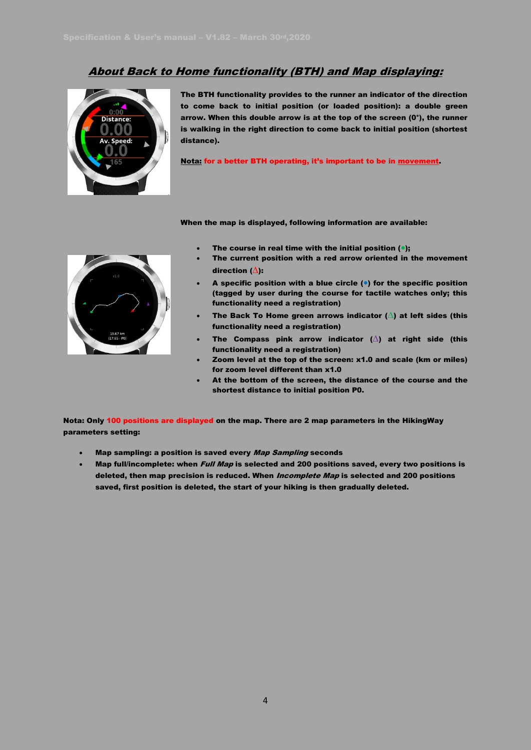## About Back to Home functionality (BTH) and Map displaying:



The BTH functionality provides to the runner an indicator of the direction to come back to initial position (or loaded position): a double green arrow. When this double arrow is at the top of the screen (0°), the runner is walking in the right direction to come back to initial position (shortest distance).

Nota: for a better BTH operating, it's important to be in movement.

When the map is displayed, following information are available:



- The course in real time with the initial position  $(•);$ 
	- The current position with a red arrow oriented in the movement direction (∆):
- A specific position with a blue circle  $(\bullet)$  for the specific position (tagged by user during the course for tactile watches only; this functionality need a registration)
- The Back To Home green arrows indicator ( $\triangle$ ) at left sides (this functionality need a registration)
- The Compass pink arrow indicator ( $\triangle$ ) at right side (this functionality need a registration)
- Zoom level at the top of the screen: x1.0 and scale (km or miles) for zoom level different than x1.0
- At the bottom of the screen, the distance of the course and the shortest distance to initial position P0.

Nota: Only 100 positions are displayed on the map. There are 2 map parameters in the HikingWay parameters setting:

- Map sampling: a position is saved every Map Sampling seconds
- Map full/incomplete: when *Full Map* is selected and 200 positions saved, every two positions is deleted, then map precision is reduced. When *Incomplete Map* is selected and 200 positions saved, first position is deleted, the start of your hiking is then gradually deleted.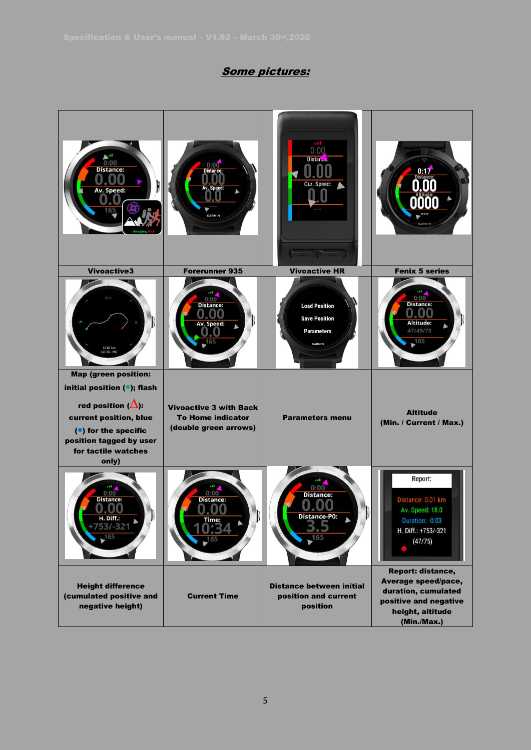## Some pictures:

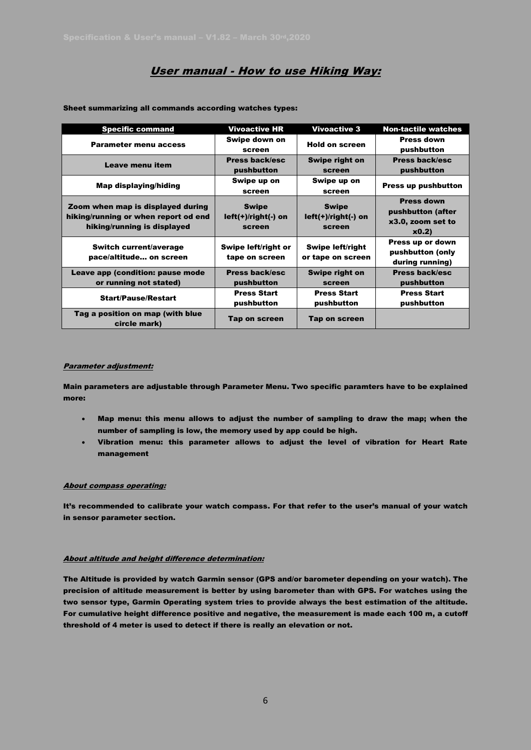## User manual - How to use Hiking Way:

| <b>Specific command</b>                                                                                  | <b>Vivoactive HR</b>                            | <b>Vivoactive 3</b>                              | <b>Non-tactile watches</b>                                          |
|----------------------------------------------------------------------------------------------------------|-------------------------------------------------|--------------------------------------------------|---------------------------------------------------------------------|
| <b>Parameter menu access</b>                                                                             | Swipe down on<br>screen                         | <b>Hold on screen</b>                            | <b>Press down</b><br>pushbutton                                     |
| Leave menu item                                                                                          | <b>Press back/esc</b><br>pushbutton             | <b>Swipe right on</b><br>screen                  | <b>Press back/esc</b><br>pushbutton                                 |
| Map displaying/hiding                                                                                    | Swipe up on<br>screen                           | Swipe up on<br>screen                            | <b>Press up pushbutton</b>                                          |
| Zoom when map is displayed during<br>hiking/running or when report od end<br>hiking/running is displayed | <b>Swipe</b><br>$left(+)/right(+)$ on<br>screen | <b>Swipe</b><br>$left(+)/right($ -) on<br>screen | <b>Press down</b><br>pushbutton (after<br>x3.0, zoom set to<br>x0.2 |
| Switch current/average<br>pace/altitude on screen                                                        | Swipe left/right or<br>tape on screen           | <b>Swipe left/right</b><br>or tape on screen     | Press up or down<br>pushbutton (only<br>during running)             |
| Leave app (condition: pause mode<br>or running not stated)                                               | <b>Press back/esc</b><br>pushbutton             | Swipe right on<br>screen                         | <b>Press back/esc</b><br>pushbutton                                 |
| <b>Start/Pause/Restart</b>                                                                               | <b>Press Start</b><br>pushbutton                | <b>Press Start</b><br>pushbutton                 | <b>Press Start</b><br>pushbutton                                    |
| Tag a position on map (with blue<br>circle mark)                                                         | Tap on screen                                   | Tap on screen                                    |                                                                     |

Sheet summarizing all commands according watches types:

#### Parameter adjustment:

Main parameters are adjustable through Parameter Menu. Two specific paramters have to be explained more:

- Map menu: this menu allows to adjust the number of sampling to draw the map; when the number of sampling is low, the memory used by app could be high.
- Vibration menu: this parameter allows to adjust the level of vibration for Heart Rate management

#### About compass operating:

It's recommended to calibrate your watch compass. For that refer to the user's manual of your watch in sensor parameter section.

#### About altitude and height difference determination:

The Altitude is provided by watch Garmin sensor (GPS and/or barometer depending on your watch). The precision of altitude measurement is better by using barometer than with GPS. For watches using the two sensor type, Garmin Operating system tries to provide always the best estimation of the altitude. For cumulative height difference positive and negative, the measurement is made each 100 m, a cutoff threshold of 4 meter is used to detect if there is really an elevation or not.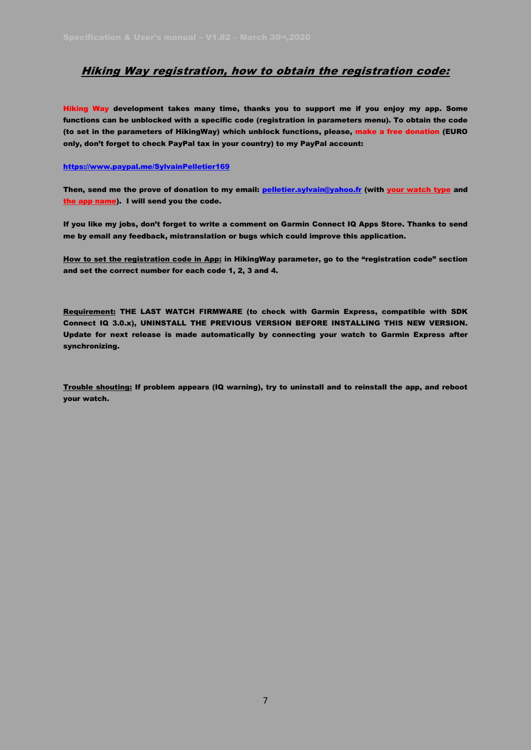### Hiking Way registration, how to obtain the registration code:

Hiking Way development takes many time, thanks you to support me if you enjoy my app. Some functions can be unblocked with a specific code (registration in parameters menu). To obtain the code (to set in the parameters of HikingWay) which unblock functions, please, make a free donation (EURO only, don't forget to check PayPal tax in your country) to my PayPal account:

#### <https://www.paypal.me/SylvainPelletier169>

Then, send me the prove of donation to my email: [pelletier.sylvain@yahoo.fr](mailto:pelletier.sylvain@yahoo.fr) (with your watch type and the app name). I will send you the code.

If you like my jobs, don't forget to write a comment on Garmin Connect IQ Apps Store. Thanks to send me by email any feedback, mistranslation or bugs which could improve this application.

How to set the registration code in App: in HikingWay parameter, go to the "registration code" section and set the correct number for each code 1, 2, 3 and 4.

Requirement: THE LAST WATCH FIRMWARE (to check with Garmin Express, compatible with SDK Connect IQ 3.0.x), UNINSTALL THE PREVIOUS VERSION BEFORE INSTALLING THIS NEW VERSION. Update for next release is made automatically by connecting your watch to Garmin Express after synchronizing.

Trouble shouting: If problem appears (IQ warning), try to uninstall and to reinstall the app, and reboot your watch.